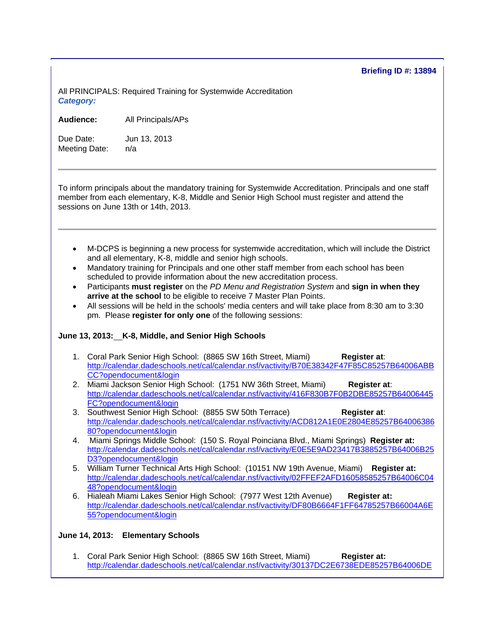## **Briefing ID #: 13894**

All PRINCIPALS: Required Training for Systemwide Accreditation *Category:* 

**Audience:** All Principals/APs

Due Date: Jun 13, 2013 Meeting Date: n/a

To inform principals about the mandatory training for Systemwide Accreditation. Principals and one staff member from each elementary, K-8, Middle and Senior High School must register and attend the sessions on June 13th or 14th, 2013.

- M-DCPS is beginning a new process for systemwide accreditation, which will include the District and all elementary, K-8, middle and senior high schools.
- Mandatory training for Principals and one other staff member from each school has been scheduled to provide information about the new accreditation process.
- Participants **must register** on the *PD Menu and Registration System* and **sign in when they arrive at the school** to be eligible to receive 7 Master Plan Points.
- All sessions will be held in the schools' media centers and will take place from 8:30 am to 3:30 pm. Please **register for only one** of the following sessions:

## **June 13, 2013: K-8, Middle, and Senior High Schools**

- 1. Coral Park Senior High School: (8865 SW 16th Street, Miami) **Register at**: http://calendar.dadeschools.net/cal/calendar.nsf/vactivity/B70E38342F47F85C85257B64006ABB CC?opendocument&login
- 2. Miami Jackson Senior High School: (1751 NW 36th Street, Miami) **Register at**: http://calendar.dadeschools.net/cal/calendar.nsf/vactivity/416F830B7F0B2DBE85257B64006445 FC?opendocument&login
- 3. Southwest Senior High School: (8855 SW 50th Terrace) **Register at**: http://calendar.dadeschools.net/cal/calendar.nsf/vactivity/ACD812A1E0E2804E85257B64006386 80?opendocument&login
- 4. Miami Springs Middle School: (150 S. Royal Poinciana Blvd., Miami Springs) **Register at:** http://calendar.dadeschools.net/cal/calendar.nsf/vactivity/E0E5E9AD23417B3885257B64006B25 D3?opendocument&login
- 5. William Turner Technical Arts High School: (10151 NW 19th Avenue, Miami) **Register at:** http://calendar.dadeschools.net/cal/calendar.nsf/vactivity/02FFEF2AFD16058585257B64006C04 48?opendocument&login
- 6. Hialeah Miami Lakes Senior High School: (7977 West 12th Avenue) **Register at:**  http://calendar.dadeschools.net/cal/calendar.nsf/vactivity/DF80B6664F1FF64785257B66004A6E 55?opendocument&login

## **June 14, 2013: Elementary Schools**

1. Coral Park Senior High School: (8865 SW 16th Street, Miami) **Register at:**  http://calendar.dadeschools.net/cal/calendar.nsf/vactivity/30137DC2E6738EDE85257B64006DE